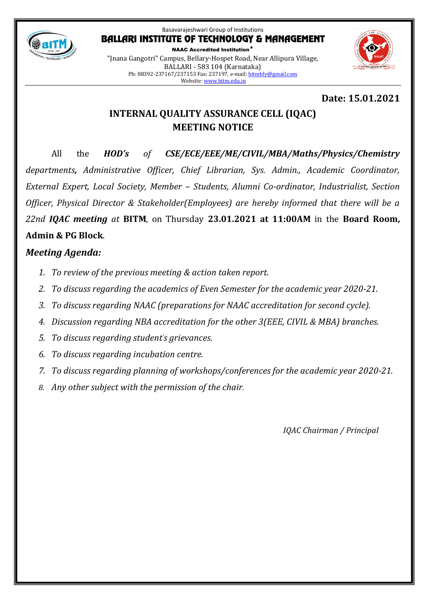

NAAC Accredited Institution\* "Jnana Gangotri" Campus, Bellary-Hospet Road, Near Allipura Village, BALLARI - 583 104 (Karnataka) Ph: 08392-237167/237153 Fax: 237197, e-mail[: bitmbly@gmail.com](mailto:bitmbly@gmail.com) Website[: www.bitm.edu.in](http://www.bec-bellary.com/)



# **Date: 15.01.2021**

# **INTERNAL QUALITY ASSURANCE CELL (IQAC) MEETING NOTICE**

All the *HOD's of CSE/ECE/EEE/ME/CIVIL/MBA/Maths/Physics/Chemistry departments, Administrative Officer, Chief Librarian, Sys. Admin., Academic Coordinator, External Expert, Local Society, Member – Students, Alumni Co-ordinator, Industrialist, Section Officer, Physical Director & Stakeholder(Employees) are hereby informed that there will be a 22nd IQAC meeting at* **BITM**, on Thursday **23.01.2021 at 11:00AM** in the **Board Room, Admin & PG Block**.

# *Meeting Agenda:*

- *1. To review of the previous meeting & action taken report.*
- *2. To discuss regarding the academics of Even Semester for the academic year 2020-21.*
- *3. To discuss regarding NAAC (preparations for NAAC accreditation for second cycle).*
- *4. Discussion regarding NBA accreditation for the other 3(EEE, CIVIL & MBA) branches.*
- *5. To discuss regarding student's grievances.*
- *6. To discuss regarding incubation centre.*
- *7. To discuss regarding planning of workshops/conferences for the academic year 2020-21.*
- *8. Any other subject with the permission of the chair.*

*IQAC Chairman / Principal*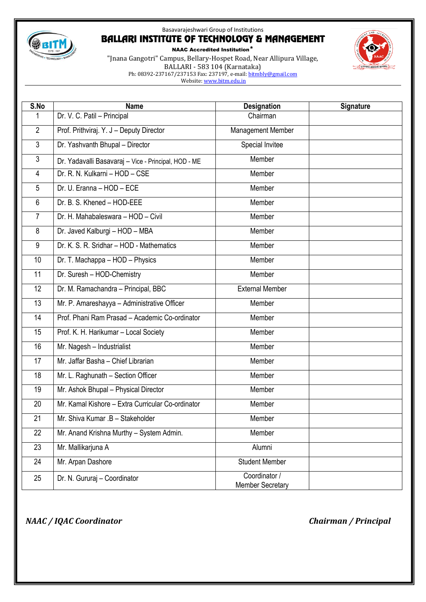

NAAC Accredited Institution\*

"Jnana Gangotri" Campus, Bellary-Hospet Road, Near Allipura Village, BALLARI - 583 104 (Karnataka) Ph: 08392-237167/237153 Fax: 237197, e-mail[: bitmbly@gmail.com](mailto:bitmbly@gmail.com) Website[: www.bitm.edu.in](http://www.bec-bellary.com/)



*NAAC / IQAC Coordinator Chairman / Principal*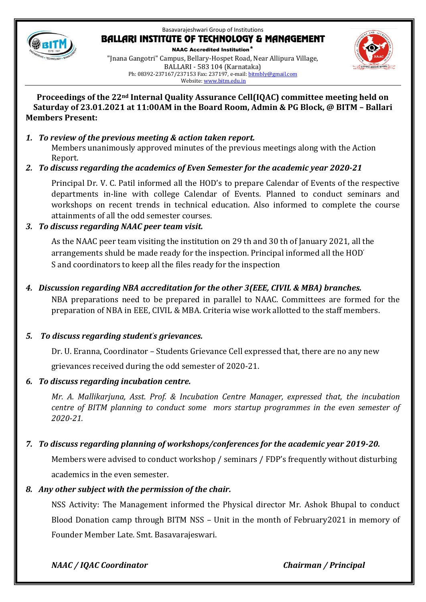

NAAC Accredited Institution\* "Jnana Gangotri" Campus, Bellary-Hospet Road, Near Allipura Village, BALLARI - 583 104 (Karnataka) Ph: 08392-237167/237153 Fax: 237197, e-mail[: bitmbly@gmail.com](mailto:bitmbly@gmail.com) Website[: www.bitm.edu.in](http://www.bec-bellary.com/)



#### **Proceedings of the 22nd Internal Quality Assurance Cell(IQAC) committee meeting held on Saturday of 23.01.2021 at 11:00AM in the Board Room, Admin & PG Block, @ BITM – Ballari Members Present:**

### *1. To review of the previous meeting & action taken report.*

Members unanimously approved minutes of the previous meetings along with the Action Report.

# *2. To discuss regarding the academics of Even Semester for the academic year 2020-21*

Principal Dr. V. C. Patil informed all the HOD's to prepare Calendar of Events of the respective departments in-line with college Calendar of Events. Planned to conduct seminars and workshops on recent trends in technical education. Also informed to complete the course attainments of all the odd semester courses.

# *3. To discuss regarding NAAC peer team visit.*

As the NAAC peer team visiting the institution on 29 th and 30 th of January 2021, all the arrangements shuld be made ready for the inspection. Principal informed all the HOD' S and coordinators to keep all the files ready for the inspection

### *4. Discussion regarding NBA accreditation for the other 3(EEE, CIVIL & MBA) branches.*

NBA preparations need to be prepared in parallel to NAAC. Committees are formed for the preparation of NBA in EEE, CIVIL & MBA. Criteria wise work allotted to the staff members.

### *5. To discuss regarding student's grievances.*

Dr. U. Eranna, Coordinator – Students Grievance Cell expressed that, there are no any new

grievances received during the odd semester of 2020-21.

# *6. To discuss regarding incubation centre.*

*Mr. A. Mallikarjuna, Asst. Prof. & Incubation Centre Manager, expressed that, the incubation centre of BITM planning to conduct some mors startup programmes in the even semester of 2020-21.*

# *7. To discuss regarding planning of workshops/conferences for the academic year 2019-20.*

Members were advised to conduct workshop / seminars / FDP's frequently without disturbing academics in the even semester.

# *8. Any other subject with the permission of the chair.*

NSS Activity: The Management informed the Physical director Mr. Ashok Bhupal to conduct Blood Donation camp through BITM NSS – Unit in the month of February2021 in memory of Founder Member Late. Smt. Basavarajeswari.

*NAAC / IQAC Coordinator Chairman / Principal*